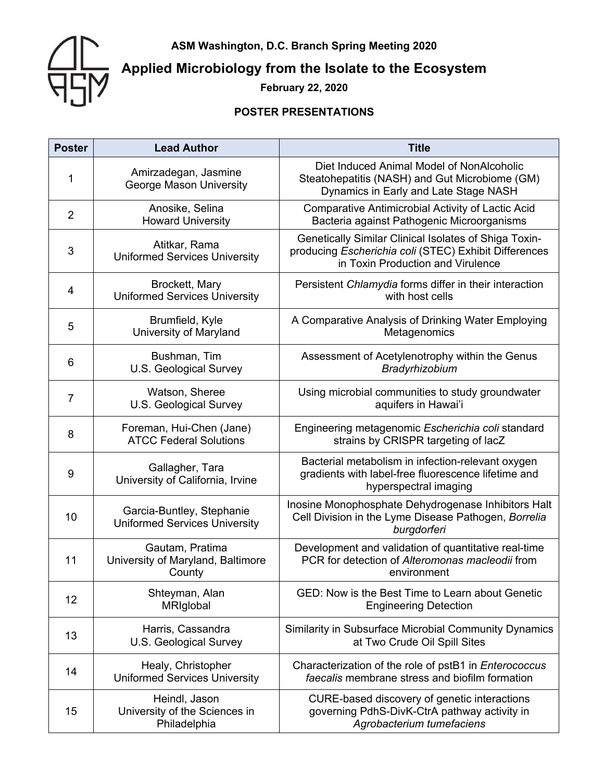**ASM Washington, D.C. Branch Spring Meeting 2020**



# **Applied Microbiology from the Isolate to the Ecosystem**

**February 22, 2020**

### **POSTER PRESENTATIONS**

| <b>Poster</b>  | <b>Lead Author</b>                                                | <b>Title</b>                                                                                                                                        |
|----------------|-------------------------------------------------------------------|-----------------------------------------------------------------------------------------------------------------------------------------------------|
| 1              | Amirzadegan, Jasmine<br><b>George Mason University</b>            | Diet Induced Animal Model of NonAlcoholic<br>Steatohepatitis (NASH) and Gut Microbiome (GM)<br>Dynamics in Early and Late Stage NASH                |
| $\overline{2}$ | Anosike, Selina<br><b>Howard University</b>                       | <b>Comparative Antimicrobial Activity of Lactic Acid</b><br>Bacteria against Pathogenic Microorganisms                                              |
| 3              | Atitkar, Rama<br><b>Uniformed Services University</b>             | Genetically Similar Clinical Isolates of Shiga Toxin-<br>producing Escherichia coli (STEC) Exhibit Differences<br>in Toxin Production and Virulence |
| $\overline{4}$ | Brockett, Mary<br><b>Uniformed Services University</b>            | Persistent Chlamydia forms differ in their interaction<br>with host cells                                                                           |
| 5              | Brumfield, Kyle<br>University of Maryland                         | A Comparative Analysis of Drinking Water Employing<br>Metagenomics                                                                                  |
| 6              | Bushman, Tim<br>U.S. Geological Survey                            | Assessment of Acetylenotrophy within the Genus<br>Bradyrhizobium                                                                                    |
| $\overline{7}$ | Watson, Sheree<br>U.S. Geological Survey                          | Using microbial communities to study groundwater<br>aquifers in Hawai'i                                                                             |
| 8              | Foreman, Hui-Chen (Jane)<br><b>ATCC Federal Solutions</b>         | Engineering metagenomic Escherichia coli standard<br>strains by CRISPR targeting of lacZ                                                            |
| 9              | Gallagher, Tara<br>University of California, Irvine               | Bacterial metabolism in infection-relevant oxygen<br>gradients with label-free fluorescence lifetime and<br>hyperspectral imaging                   |
| 10             | Garcia-Buntley, Stephanie<br><b>Uniformed Services University</b> | Inosine Monophosphate Dehydrogenase Inhibitors Halt<br>Cell Division in the Lyme Disease Pathogen, Borrelia<br>burgdorferi                          |
| 11             | Gautam, Pratima<br>University of Maryland, Baltimore<br>County    | Development and validation of quantitative real-time<br>PCR for detection of Alteromonas macleodii from<br>environment                              |
| 12             | Shteyman, Alan<br>MRIglobal                                       | GED: Now is the Best Time to Learn about Genetic<br><b>Engineering Detection</b>                                                                    |
| 13             | Harris, Cassandra<br>U.S. Geological Survey                       | Similarity in Subsurface Microbial Community Dynamics<br>at Two Crude Oil Spill Sites                                                               |
| 14             | Healy, Christopher<br><b>Uniformed Services University</b>        | Characterization of the role of pstB1 in Enterococcus<br>faecalis membrane stress and biofilm formation                                             |
| 15             | Heindl, Jason<br>University of the Sciences in<br>Philadelphia    | CURE-based discovery of genetic interactions<br>governing PdhS-DivK-CtrA pathway activity in<br>Agrobacterium tumefaciens                           |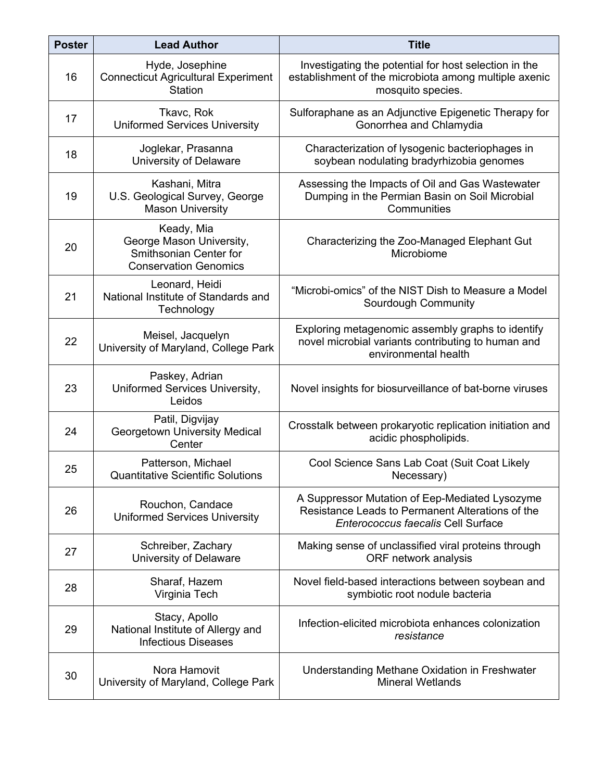| <b>Poster</b> | <b>Lead Author</b>                                                                               | <b>Title</b>                                                                                                                             |
|---------------|--------------------------------------------------------------------------------------------------|------------------------------------------------------------------------------------------------------------------------------------------|
| 16            | Hyde, Josephine<br><b>Connecticut Agricultural Experiment</b><br><b>Station</b>                  | Investigating the potential for host selection in the<br>establishment of the microbiota among multiple axenic<br>mosquito species.      |
| 17            | Tkavc, Rok<br><b>Uniformed Services University</b>                                               | Sulforaphane as an Adjunctive Epigenetic Therapy for<br>Gonorrhea and Chlamydia                                                          |
| 18            | Joglekar, Prasanna<br>University of Delaware                                                     | Characterization of lysogenic bacteriophages in<br>soybean nodulating bradyrhizobia genomes                                              |
| 19            | Kashani, Mitra<br>U.S. Geological Survey, George<br><b>Mason University</b>                      | Assessing the Impacts of Oil and Gas Wastewater<br>Dumping in the Permian Basin on Soil Microbial<br>Communities                         |
| 20            | Keady, Mia<br>George Mason University,<br>Smithsonian Center for<br><b>Conservation Genomics</b> | Characterizing the Zoo-Managed Elephant Gut<br>Microbiome                                                                                |
| 21            | Leonard, Heidi<br>National Institute of Standards and<br>Technology                              | "Microbi-omics" of the NIST Dish to Measure a Model<br>Sourdough Community                                                               |
| 22            | Meisel, Jacquelyn<br>University of Maryland, College Park                                        | Exploring metagenomic assembly graphs to identify<br>novel microbial variants contributing to human and<br>environmental health          |
| 23            | Paskey, Adrian<br>Uniformed Services University,<br>Leidos                                       | Novel insights for biosurveillance of bat-borne viruses                                                                                  |
| 24            | Patil, Digvijay<br>Georgetown University Medical<br>Center                                       | Crosstalk between prokaryotic replication initiation and<br>acidic phospholipids.                                                        |
| 25            | Patterson, Michael<br><b>Quantitative Scientific Solutions</b>                                   | Cool Science Sans Lab Coat (Suit Coat Likely<br>Necessary)                                                                               |
| 26            | Rouchon, Candace<br><b>Uniformed Services University</b>                                         | A Suppressor Mutation of Eep-Mediated Lysozyme<br>Resistance Leads to Permanent Alterations of the<br>Enterococcus faecalis Cell Surface |
| 27            | Schreiber, Zachary<br>University of Delaware                                                     | Making sense of unclassified viral proteins through<br>ORF network analysis                                                              |
| 28            | Sharaf, Hazem<br>Virginia Tech                                                                   | Novel field-based interactions between soybean and<br>symbiotic root nodule bacteria                                                     |
| 29            | Stacy, Apollo<br>National Institute of Allergy and<br><b>Infectious Diseases</b>                 | Infection-elicited microbiota enhances colonization<br>resistance                                                                        |
| 30            | Nora Hamovit<br>University of Maryland, College Park                                             | Understanding Methane Oxidation in Freshwater<br><b>Mineral Wetlands</b>                                                                 |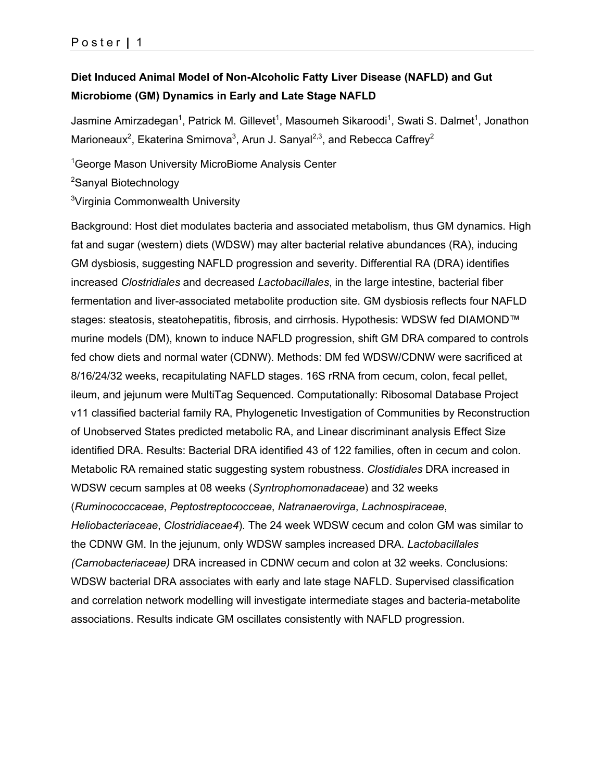# **Diet Induced Animal Model of Non-Alcoholic Fatty Liver Disease (NAFLD) and Gut Microbiome (GM) Dynamics in Early and Late Stage NAFLD**

Jasmine Amirzadegan<sup>1</sup>, Patrick M. Gillevet<sup>1</sup>, Masoumeh Sikaroodi<sup>1</sup>, Swati S. Dalmet<sup>1</sup>, Jonathon Marioneaux<sup>2</sup>, Ekaterina Smirnova<sup>3</sup>, Arun J. Sanyal<sup>2,3</sup>, and Rebecca Caffrey<sup>2</sup>

<sup>1</sup>George Mason University MicroBiome Analysis Center

<sup>2</sup>Sanyal Biotechnology

<sup>3</sup>Virginia Commonwealth University

Background: Host diet modulates bacteria and associated metabolism, thus GM dynamics. High fat and sugar (western) diets (WDSW) may alter bacterial relative abundances (RA), inducing GM dysbiosis, suggesting NAFLD progression and severity. Differential RA (DRA) identifies increased *Clostridiales* and decreased *Lactobacillales*, in the large intestine, bacterial fiber fermentation and liver-associated metabolite production site. GM dysbiosis reflects four NAFLD stages: steatosis, steatohepatitis, fibrosis, and cirrhosis. Hypothesis: WDSW fed DIAMOND™ murine models (DM), known to induce NAFLD progression, shift GM DRA compared to controls fed chow diets and normal water (CDNW). Methods: DM fed WDSW/CDNW were sacrificed at 8/16/24/32 weeks, recapitulating NAFLD stages. 16S rRNA from cecum, colon, fecal pellet, ileum, and jejunum were MultiTag Sequenced. Computationally: Ribosomal Database Project v11 classified bacterial family RA, Phylogenetic Investigation of Communities by Reconstruction of Unobserved States predicted metabolic RA, and Linear discriminant analysis Effect Size identified DRA. Results: Bacterial DRA identified 43 of 122 families, often in cecum and colon. Metabolic RA remained static suggesting system robustness. *Clostidiales* DRA increased in WDSW cecum samples at 08 weeks (*Syntrophomonadaceae*) and 32 weeks (*Ruminococcaceae*, *Peptostreptococceae*, *Natranaerovirga*, *Lachnospiraceae*, *Heliobacteriaceae*, *Clostridiaceae4*). The 24 week WDSW cecum and colon GM was similar to the CDNW GM. In the jejunum, only WDSW samples increased DRA. *Lactobacillales (Carnobacteriaceae)* DRA increased in CDNW cecum and colon at 32 weeks. Conclusions: WDSW bacterial DRA associates with early and late stage NAFLD. Supervised classification and correlation network modelling will investigate intermediate stages and bacteria-metabolite associations. Results indicate GM oscillates consistently with NAFLD progression.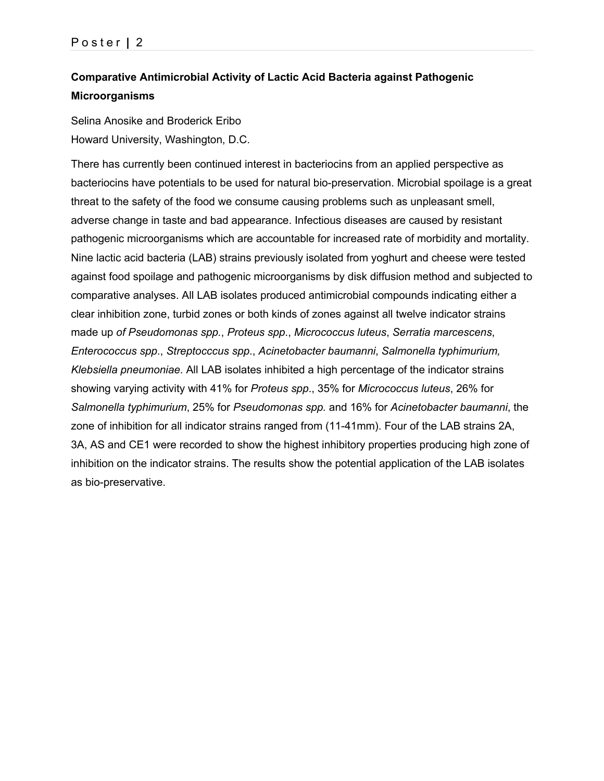# **Comparative Antimicrobial Activity of Lactic Acid Bacteria against Pathogenic Microorganisms**

Selina Anosike and Broderick Eribo Howard University, Washington, D.C.

There has currently been continued interest in bacteriocins from an applied perspective as bacteriocins have potentials to be used for natural bio-preservation. Microbial spoilage is a great threat to the safety of the food we consume causing problems such as unpleasant smell, adverse change in taste and bad appearance. Infectious diseases are caused by resistant pathogenic microorganisms which are accountable for increased rate of morbidity and mortality. Nine lactic acid bacteria (LAB) strains previously isolated from yoghurt and cheese were tested against food spoilage and pathogenic microorganisms by disk diffusion method and subjected to comparative analyses. All LAB isolates produced antimicrobial compounds indicating either a clear inhibition zone, turbid zones or both kinds of zones against all twelve indicator strains made up *of Pseudomonas spp.*, *Proteus spp*., *Micrococcus luteus*, *Serratia marcescens*, *Enterococcus spp*., *Streptocccus spp*., *Acinetobacter baumanni*, *Salmonella typhimurium, Klebsiella pneumoniae*. All LAB isolates inhibited a high percentage of the indicator strains showing varying activity with 41% for *Proteus spp*., 35% for *Micrococcus luteus*, 26% for *Salmonella typhimurium*, 25% for *Pseudomonas spp.* and 16% for *Acinetobacter baumanni*, the zone of inhibition for all indicator strains ranged from (11-41mm). Four of the LAB strains 2A, 3A, AS and CE1 were recorded to show the highest inhibitory properties producing high zone of inhibition on the indicator strains. The results show the potential application of the LAB isolates as bio-preservative.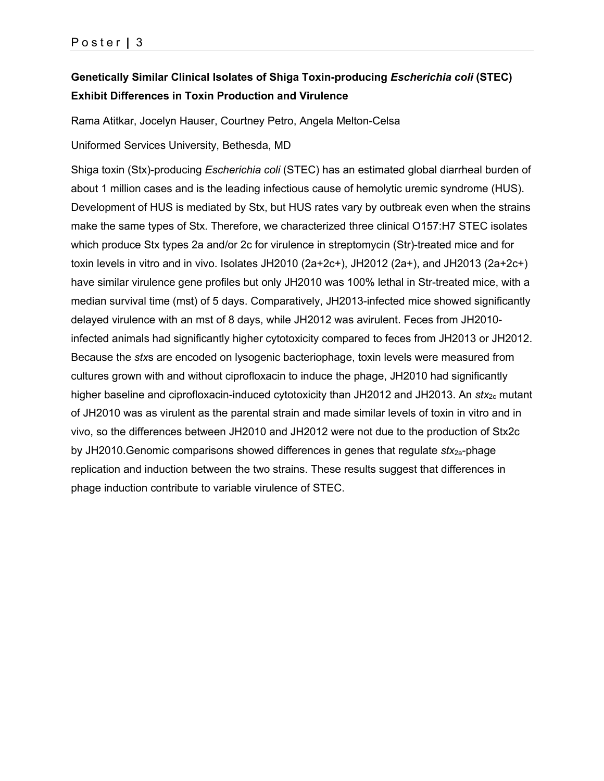# **Genetically Similar Clinical Isolates of Shiga Toxin-producing** *Escherichia coli* **(STEC) Exhibit Differences in Toxin Production and Virulence**

Rama Atitkar, Jocelyn Hauser, Courtney Petro, Angela Melton-Celsa

Uniformed Services University, Bethesda, MD

Shiga toxin (Stx)-producing *Escherichia coli* (STEC) has an estimated global diarrheal burden of about 1 million cases and is the leading infectious cause of hemolytic uremic syndrome (HUS). Development of HUS is mediated by Stx, but HUS rates vary by outbreak even when the strains make the same types of Stx. Therefore, we characterized three clinical O157:H7 STEC isolates which produce Stx types 2a and/or 2c for virulence in streptomycin (Str)-treated mice and for toxin levels in vitro and in vivo. Isolates JH2010 (2a+2c+), JH2012 (2a+), and JH2013 (2a+2c+) have similar virulence gene profiles but only JH2010 was 100% lethal in Str-treated mice, with a median survival time (mst) of 5 days. Comparatively, JH2013-infected mice showed significantly delayed virulence with an mst of 8 days, while JH2012 was avirulent. Feces from JH2010 infected animals had significantly higher cytotoxicity compared to feces from JH2013 or JH2012. Because the *stx*s are encoded on lysogenic bacteriophage, toxin levels were measured from cultures grown with and without ciprofloxacin to induce the phage, JH2010 had significantly higher baseline and ciprofloxacin-induced cytotoxicity than JH2012 and JH2013. An *stx*<sub>2c</sub> mutant of JH2010 was as virulent as the parental strain and made similar levels of toxin in vitro and in vivo, so the differences between JH2010 and JH2012 were not due to the production of Stx2c by JH2010.Genomic comparisons showed differences in genes that regulate *stx*2a-phage replication and induction between the two strains. These results suggest that differences in phage induction contribute to variable virulence of STEC.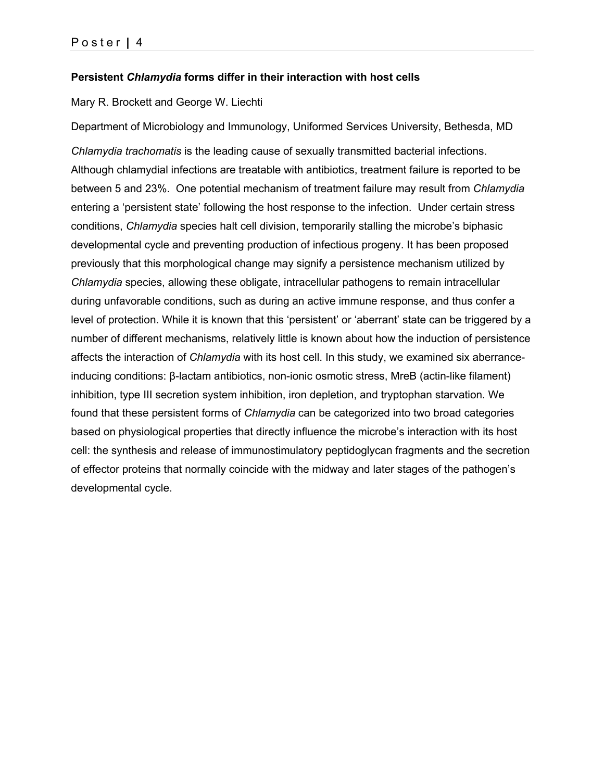### **Persistent** *Chlamydia* **forms differ in their interaction with host cells**

#### Mary R. Brockett and George W. Liechti

Department of Microbiology and Immunology, Uniformed Services University, Bethesda, MD

*Chlamydia trachomatis* is the leading cause of sexually transmitted bacterial infections. Although chlamydial infections are treatable with antibiotics, treatment failure is reported to be between 5 and 23%. One potential mechanism of treatment failure may result from *Chlamydia* entering a 'persistent state' following the host response to the infection. Under certain stress conditions, *Chlamydia* species halt cell division, temporarily stalling the microbe's biphasic developmental cycle and preventing production of infectious progeny. It has been proposed previously that this morphological change may signify a persistence mechanism utilized by *Chlamydia* species, allowing these obligate, intracellular pathogens to remain intracellular during unfavorable conditions, such as during an active immune response, and thus confer a level of protection. While it is known that this 'persistent' or 'aberrant' state can be triggered by a number of different mechanisms, relatively little is known about how the induction of persistence affects the interaction of *Chlamydia* with its host cell. In this study, we examined six aberranceinducing conditions: β-lactam antibiotics, non-ionic osmotic stress, MreB (actin-like filament) inhibition, type III secretion system inhibition, iron depletion, and tryptophan starvation. We found that these persistent forms of *Chlamydia* can be categorized into two broad categories based on physiological properties that directly influence the microbe's interaction with its host cell: the synthesis and release of immunostimulatory peptidoglycan fragments and the secretion of effector proteins that normally coincide with the midway and later stages of the pathogen's developmental cycle.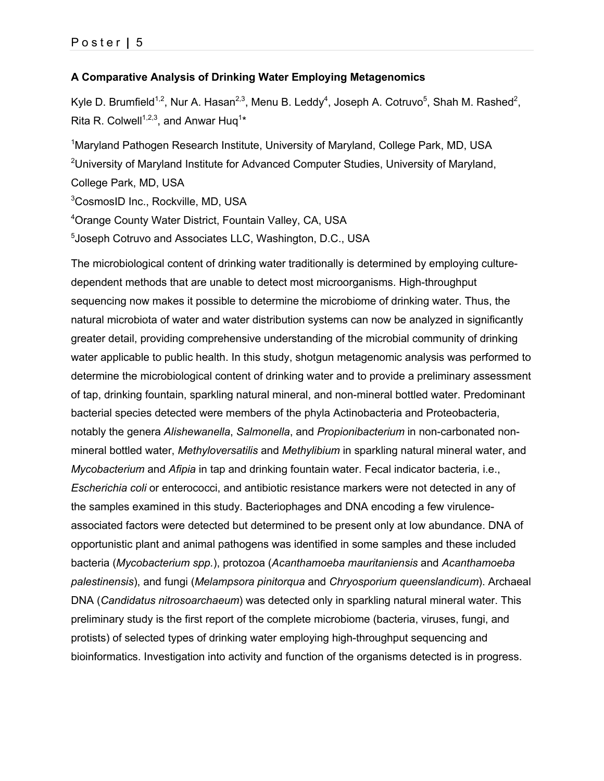### **A Comparative Analysis of Drinking Water Employing Metagenomics**

Kyle D. Brumfield<sup>1,2</sup>, Nur A. Hasan<sup>2,3</sup>, Menu B. Leddy<sup>4</sup>, Joseph A. Cotruvo<sup>5</sup>, Shah M. Rashed<sup>2</sup>, Rita R. Colwell<sup>1,2,3</sup>, and Anwar Huq<sup>1\*</sup>

<sup>1</sup>Maryland Pathogen Research Institute, University of Maryland, College Park, MD, USA <sup>2</sup>University of Maryland Institute for Advanced Computer Studies, University of Maryland, College Park, MD, USA 3 CosmosID Inc., Rockville, MD, USA 4 Orange County Water District, Fountain Valley, CA, USA

5 Joseph Cotruvo and Associates LLC, Washington, D.C., USA

The microbiological content of drinking water traditionally is determined by employing culturedependent methods that are unable to detect most microorganisms. High-throughput sequencing now makes it possible to determine the microbiome of drinking water. Thus, the natural microbiota of water and water distribution systems can now be analyzed in significantly greater detail, providing comprehensive understanding of the microbial community of drinking water applicable to public health. In this study, shotgun metagenomic analysis was performed to determine the microbiological content of drinking water and to provide a preliminary assessment of tap, drinking fountain, sparkling natural mineral, and non-mineral bottled water. Predominant bacterial species detected were members of the phyla Actinobacteria and Proteobacteria, notably the genera *Alishewanella*, *Salmonella*, and *Propionibacterium* in non-carbonated nonmineral bottled water, *Methyloversatilis* and *Methylibium* in sparkling natural mineral water, and *Mycobacterium* and *Afipia* in tap and drinking fountain water. Fecal indicator bacteria, i.e., *Escherichia coli* or enterococci, and antibiotic resistance markers were not detected in any of the samples examined in this study. Bacteriophages and DNA encoding a few virulenceassociated factors were detected but determined to be present only at low abundance. DNA of opportunistic plant and animal pathogens was identified in some samples and these included bacteria (*Mycobacterium spp.*), protozoa (*Acanthamoeba mauritaniensis* and *Acanthamoeba palestinensis*), and fungi (*Melampsora pinitorqua* and *Chryosporium queenslandicum*). Archaeal DNA (*Candidatus nitrosoarchaeum*) was detected only in sparkling natural mineral water. This preliminary study is the first report of the complete microbiome (bacteria, viruses, fungi, and protists) of selected types of drinking water employing high-throughput sequencing and bioinformatics. Investigation into activity and function of the organisms detected is in progress.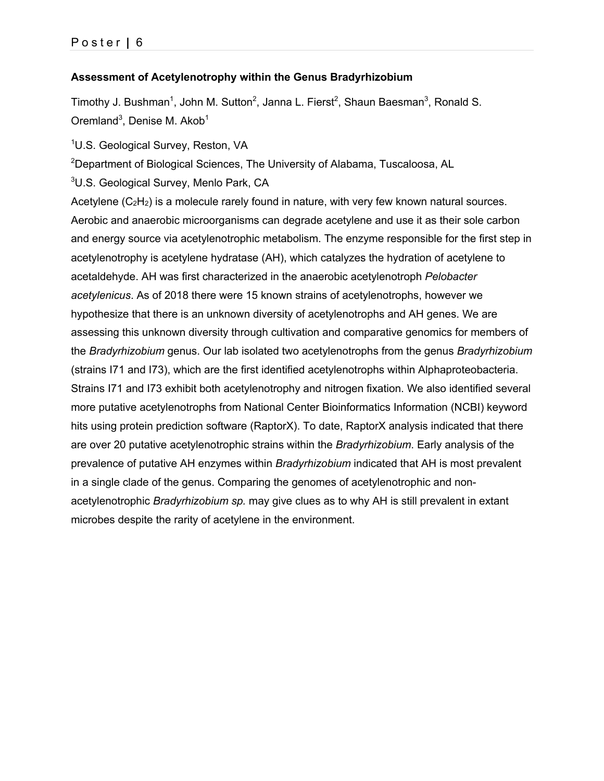### **Assessment of Acetylenotrophy within the Genus Bradyrhizobium**

Timothy J. Bushman<sup>1</sup>, John M. Sutton<sup>2</sup>, Janna L. Fierst<sup>2</sup>, Shaun Baesman<sup>3</sup>, Ronald S. Oremland<sup>3</sup>, Denise M. Akob<sup>1</sup>

<sup>1</sup>U.S. Geological Survey, Reston, VA

<sup>2</sup>Department of Biological Sciences, The University of Alabama, Tuscaloosa, AL

 ${}^{3}$ U.S. Geological Survey, Menlo Park, CA

Acetylene  $(C_2H_2)$  is a molecule rarely found in nature, with very few known natural sources. Aerobic and anaerobic microorganisms can degrade acetylene and use it as their sole carbon and energy source via acetylenotrophic metabolism. The enzyme responsible for the first step in acetylenotrophy is acetylene hydratase (AH), which catalyzes the hydration of acetylene to acetaldehyde. AH was first characterized in the anaerobic acetylenotroph *Pelobacter acetylenicus*. As of 2018 there were 15 known strains of acetylenotrophs, however we hypothesize that there is an unknown diversity of acetylenotrophs and AH genes. We are assessing this unknown diversity through cultivation and comparative genomics for members of the *Bradyrhizobium* genus. Our lab isolated two acetylenotrophs from the genus *Bradyrhizobium* (strains I71 and I73), which are the first identified acetylenotrophs within Alphaproteobacteria. Strains I71 and I73 exhibit both acetylenotrophy and nitrogen fixation. We also identified several more putative acetylenotrophs from National Center Bioinformatics Information (NCBI) keyword hits using protein prediction software (RaptorX). To date, RaptorX analysis indicated that there are over 20 putative acetylenotrophic strains within the *Bradyrhizobium*. Early analysis of the prevalence of putative AH enzymes within *Bradyrhizobium* indicated that AH is most prevalent in a single clade of the genus. Comparing the genomes of acetylenotrophic and nonacetylenotrophic *Bradyrhizobium sp.* may give clues as to why AH is still prevalent in extant microbes despite the rarity of acetylene in the environment.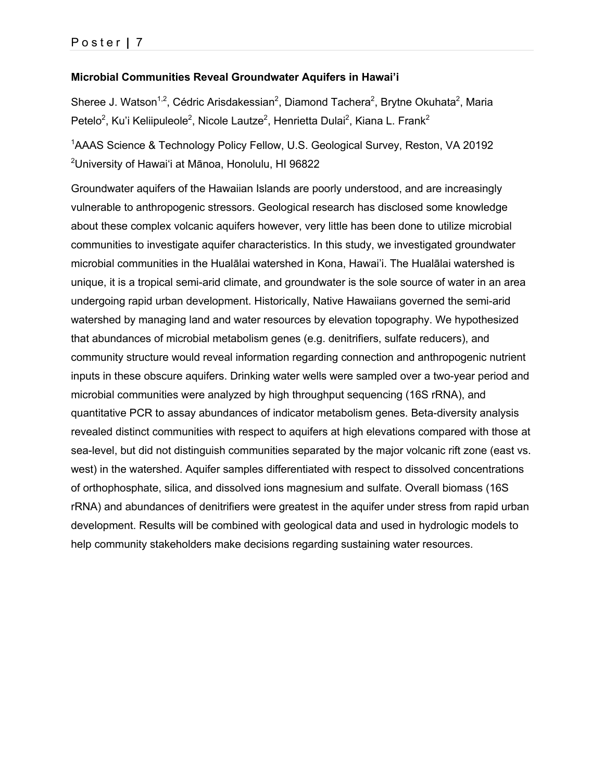### **Microbial Communities Reveal Groundwater Aquifers in Hawai'i**

Sheree J. Watson<sup>1,2</sup>, Cédric Arisdakessian<sup>2</sup>, Diamond Tachera<sup>2</sup>, Brytne Okuhata<sup>2</sup>, Maria Petelo<sup>2</sup>, Ku'i Keliipuleole<sup>2</sup>, Nicole Lautze<sup>2</sup>, Henrietta Dulai<sup>2</sup>, Kiana L. Frank<sup>2</sup>

<sup>1</sup>AAAS Science & Technology Policy Fellow, U.S. Geological Survey, Reston, VA 20192 2 University of Hawai'i at Mānoa, Honolulu, HI 96822

Groundwater aquifers of the Hawaiian Islands are poorly understood, and are increasingly vulnerable to anthropogenic stressors. Geological research has disclosed some knowledge about these complex volcanic aquifers however, very little has been done to utilize microbial communities to investigate aquifer characteristics. In this study, we investigated groundwater microbial communities in the Hualālai watershed in Kona, Hawai'i. The Hualālai watershed is unique, it is a tropical semi-arid climate, and groundwater is the sole source of water in an area undergoing rapid urban development. Historically, Native Hawaiians governed the semi-arid watershed by managing land and water resources by elevation topography. We hypothesized that abundances of microbial metabolism genes (e.g. denitrifiers, sulfate reducers), and community structure would reveal information regarding connection and anthropogenic nutrient inputs in these obscure aquifers. Drinking water wells were sampled over a two-year period and microbial communities were analyzed by high throughput sequencing (16S rRNA), and quantitative PCR to assay abundances of indicator metabolism genes. Beta-diversity analysis revealed distinct communities with respect to aquifers at high elevations compared with those at sea-level, but did not distinguish communities separated by the major volcanic rift zone (east vs. west) in the watershed. Aquifer samples differentiated with respect to dissolved concentrations of orthophosphate, silica, and dissolved ions magnesium and sulfate. Overall biomass (16S rRNA) and abundances of denitrifiers were greatest in the aquifer under stress from rapid urban development. Results will be combined with geological data and used in hydrologic models to help community stakeholders make decisions regarding sustaining water resources.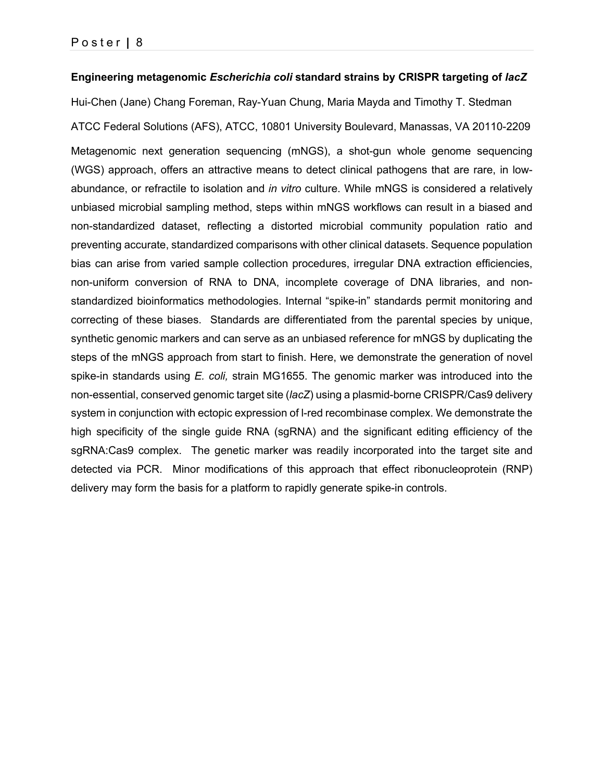#### **Engineering metagenomic** *Escherichia coli* **standard strains by CRISPR targeting of** *lacZ*

Hui-Chen (Jane) Chang Foreman, Ray-Yuan Chung, Maria Mayda and Timothy T. Stedman ATCC Federal Solutions (AFS), ATCC, 10801 University Boulevard, Manassas, VA 20110-2209

Metagenomic next generation sequencing (mNGS), a shot-gun whole genome sequencing (WGS) approach, offers an attractive means to detect clinical pathogens that are rare, in lowabundance, or refractile to isolation and *in vitro* culture. While mNGS is considered a relatively unbiased microbial sampling method, steps within mNGS workflows can result in a biased and non-standardized dataset, reflecting a distorted microbial community population ratio and preventing accurate, standardized comparisons with other clinical datasets. Sequence population bias can arise from varied sample collection procedures, irregular DNA extraction efficiencies, non-uniform conversion of RNA to DNA, incomplete coverage of DNA libraries, and nonstandardized bioinformatics methodologies. Internal "spike-in" standards permit monitoring and correcting of these biases. Standards are differentiated from the parental species by unique, synthetic genomic markers and can serve as an unbiased reference for mNGS by duplicating the steps of the mNGS approach from start to finish. Here, we demonstrate the generation of novel spike-in standards using *E. coli,* strain MG1655. The genomic marker was introduced into the non-essential, conserved genomic target site (*lacZ*) using a plasmid-borne CRISPR/Cas9 delivery system in conjunction with ectopic expression of l-red recombinase complex. We demonstrate the high specificity of the single guide RNA (sgRNA) and the significant editing efficiency of the sgRNA:Cas9 complex. The genetic marker was readily incorporated into the target site and detected via PCR. Minor modifications of this approach that effect ribonucleoprotein (RNP) delivery may form the basis for a platform to rapidly generate spike-in controls.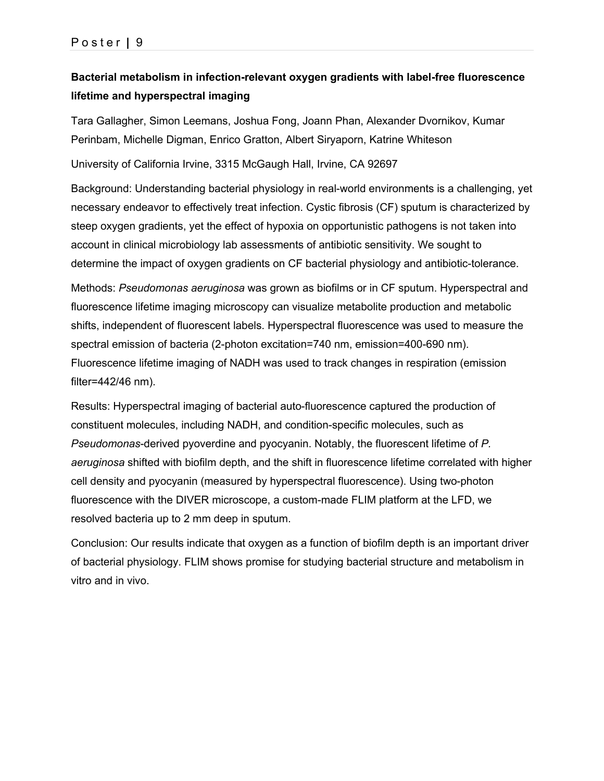# **Bacterial metabolism in infection-relevant oxygen gradients with label-free fluorescence lifetime and hyperspectral imaging**

Tara Gallagher, Simon Leemans, Joshua Fong, Joann Phan, Alexander Dvornikov, Kumar Perinbam, Michelle Digman, Enrico Gratton, Albert Siryaporn, Katrine Whiteson

University of California Irvine, 3315 McGaugh Hall, Irvine, CA 92697

Background: Understanding bacterial physiology in real-world environments is a challenging, yet necessary endeavor to effectively treat infection. Cystic fibrosis (CF) sputum is characterized by steep oxygen gradients, yet the effect of hypoxia on opportunistic pathogens is not taken into account in clinical microbiology lab assessments of antibiotic sensitivity. We sought to determine the impact of oxygen gradients on CF bacterial physiology and antibiotic-tolerance.

Methods: *Pseudomonas aeruginosa* was grown as biofilms or in CF sputum. Hyperspectral and fluorescence lifetime imaging microscopy can visualize metabolite production and metabolic shifts, independent of fluorescent labels. Hyperspectral fluorescence was used to measure the spectral emission of bacteria (2-photon excitation=740 nm, emission=400-690 nm). Fluorescence lifetime imaging of NADH was used to track changes in respiration (emission filter=442/46 nm).

Results: Hyperspectral imaging of bacterial auto-fluorescence captured the production of constituent molecules, including NADH, and condition-specific molecules, such as *Pseudomonas*-derived pyoverdine and pyocyanin. Notably, the fluorescent lifetime of *P. aeruginosa* shifted with biofilm depth, and the shift in fluorescence lifetime correlated with higher cell density and pyocyanin (measured by hyperspectral fluorescence). Using two-photon fluorescence with the DIVER microscope, a custom-made FLIM platform at the LFD, we resolved bacteria up to 2 mm deep in sputum.

Conclusion: Our results indicate that oxygen as a function of biofilm depth is an important driver of bacterial physiology. FLIM shows promise for studying bacterial structure and metabolism in vitro and in vivo.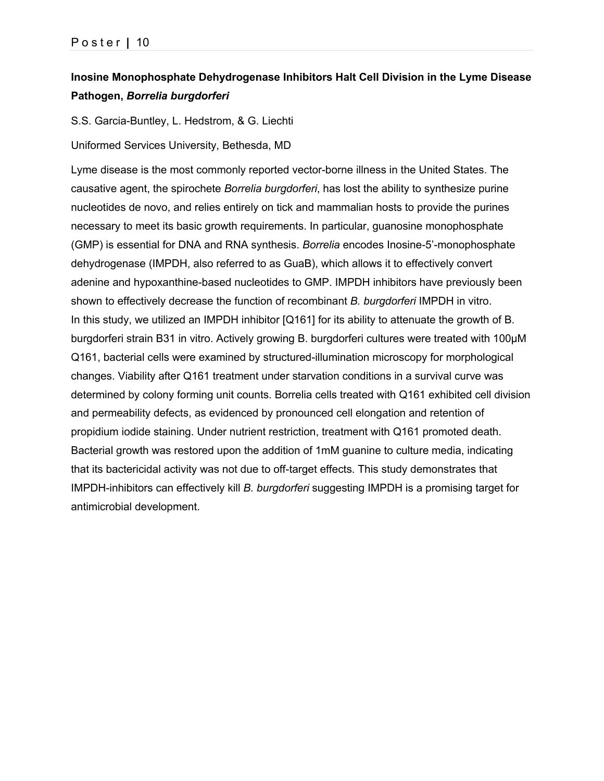# **Inosine Monophosphate Dehydrogenase Inhibitors Halt Cell Division in the Lyme Disease Pathogen,** *Borrelia burgdorferi*

S.S. Garcia-Buntley, L. Hedstrom, & G. Liechti

Uniformed Services University, Bethesda, MD

Lyme disease is the most commonly reported vector-borne illness in the United States. The causative agent, the spirochete *Borrelia burgdorferi*, has lost the ability to synthesize purine nucleotides de novo, and relies entirely on tick and mammalian hosts to provide the purines necessary to meet its basic growth requirements. In particular, guanosine monophosphate (GMP) is essential for DNA and RNA synthesis. *Borrelia* encodes Inosine-5'-monophosphate dehydrogenase (IMPDH, also referred to as GuaB), which allows it to effectively convert adenine and hypoxanthine-based nucleotides to GMP. IMPDH inhibitors have previously been shown to effectively decrease the function of recombinant *B. burgdorferi* IMPDH in vitro. In this study, we utilized an IMPDH inhibitor [Q161] for its ability to attenuate the growth of B. burgdorferi strain B31 in vitro. Actively growing B. burgdorferi cultures were treated with 100µM Q161, bacterial cells were examined by structured-illumination microscopy for morphological changes. Viability after Q161 treatment under starvation conditions in a survival curve was determined by colony forming unit counts. Borrelia cells treated with Q161 exhibited cell division and permeability defects, as evidenced by pronounced cell elongation and retention of propidium iodide staining. Under nutrient restriction, treatment with Q161 promoted death. Bacterial growth was restored upon the addition of 1mM guanine to culture media, indicating that its bactericidal activity was not due to off-target effects. This study demonstrates that IMPDH-inhibitors can effectively kill *B. burgdorferi* suggesting IMPDH is a promising target for antimicrobial development.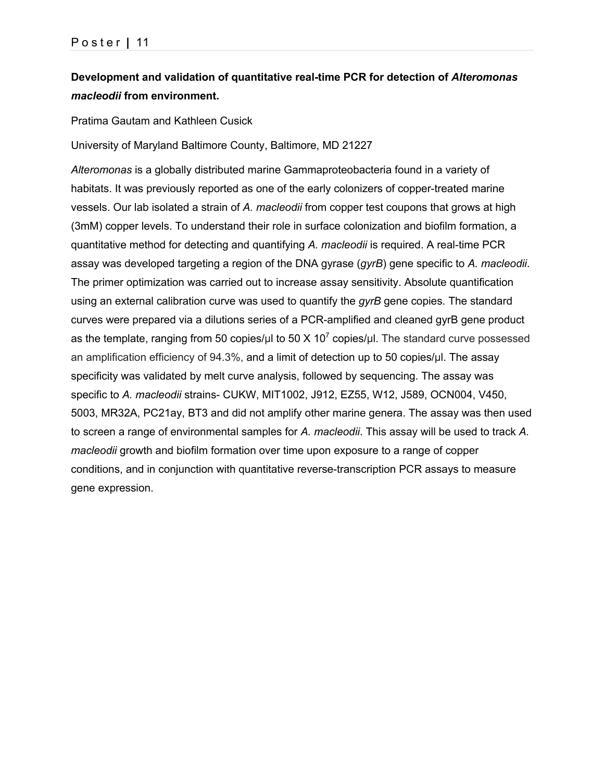# **Development and validation of quantitative real-time PCR for detection of** *Alteromonas macleodii* **from environment.**

Pratima Gautam and Kathleen Cusick

University of Maryland Baltimore County, Baltimore, MD 21227

*Alteromonas* is a globally distributed marine Gammaproteobacteria found in a variety of habitats. It was previously reported as one of the early colonizers of copper-treated marine vessels. Our lab isolated a strain of *A. macleodii* from copper test coupons that grows at high (3mM) copper levels. To understand their role in surface colonization and biofilm formation, a quantitative method for detecting and quantifying *A. macleodii* is required. A real-time PCR assay was developed targeting a region of the DNA gyrase (*gyrB*) gene specific to *A. macleodii*. The primer optimization was carried out to increase assay sensitivity. Absolute quantification using an external calibration curve was used to quantify the *gyrB* gene copies. The standard curves were prepared via a dilutions series of a PCR-amplified and cleaned gyrB gene product as the template, ranging from 50 copies/μl to 50  $\times$  10<sup>7</sup> copies/μl. The standard curve possessed an amplification efficiency of 94.3%, and a limit of detection up to 50 copies/μl. The assay specificity was validated by melt curve analysis, followed by sequencing. The assay was specific to *A. macleodii* strains- CUKW, MIT1002, J912, EZ55, W12, J589, OCN004, V450, 5003, MR32A, PC21ay, BT3 and did not amplify other marine genera. The assay was then used to screen a range of environmental samples for *A. macleodii*. This assay will be used to track *A. macleodii* growth and biofilm formation over time upon exposure to a range of copper conditions, and in conjunction with quantitative reverse-transcription PCR assays to measure gene expression.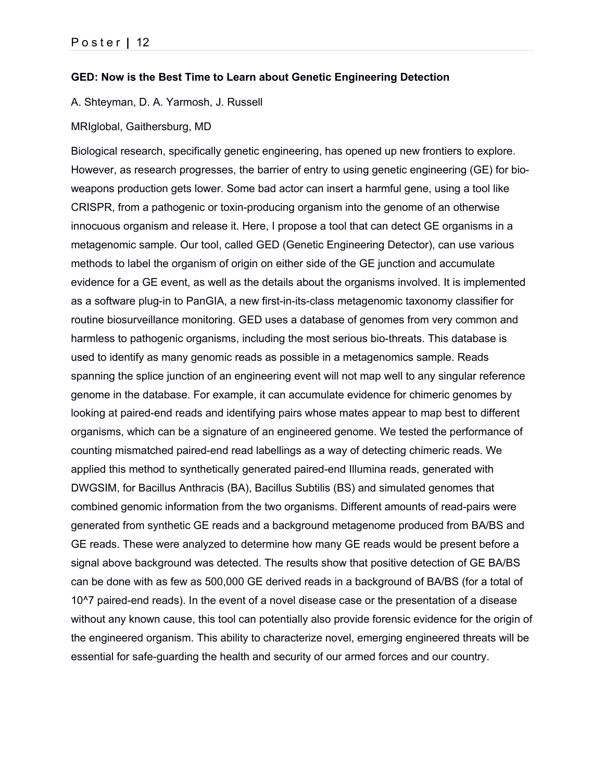#### **GED: Now is the Best Time to Learn about Genetic Engineering Detection**

A. Shteyman, D. A. Yarmosh, J. Russell

#### MRIglobal, Gaithersburg, MD

Biological research, specifically genetic engineering, has opened up new frontiers to explore. However, as research progresses, the barrier of entry to using genetic engineering (GE) for bioweapons production gets lower. Some bad actor can insert a harmful gene, using a tool like CRISPR, from a pathogenic or toxin-producing organism into the genome of an otherwise innocuous organism and release it. Here, I propose a tool that can detect GE organisms in a metagenomic sample. Our tool, called GED (Genetic Engineering Detector), can use various methods to label the organism of origin on either side of the GE junction and accumulate evidence for a GE event, as well as the details about the organisms involved. It is implemented as a software plug-in to PanGIA, a new first-in-its-class metagenomic taxonomy classifier for routine biosurveillance monitoring. GED uses a database of genomes from very common and harmless to pathogenic organisms, including the most serious bio-threats. This database is used to identify as many genomic reads as possible in a metagenomics sample. Reads spanning the splice junction of an engineering event will not map well to any singular reference genome in the database. For example, it can accumulate evidence for chimeric genomes by looking at paired-end reads and identifying pairs whose mates appear to map best to different organisms, which can be a signature of an engineered genome. We tested the performance of counting mismatched paired-end read labellings as a way of detecting chimeric reads. We applied this method to synthetically generated paired-end Illumina reads, generated with DWGSIM, for Bacillus Anthracis (BA), Bacillus Subtilis (BS) and simulated genomes that combined genomic information from the two organisms. Different amounts of read-pairs were generated from synthetic GE reads and a background metagenome produced from BA/BS and GE reads. These were analyzed to determine how many GE reads would be present before a signal above background was detected. The results show that positive detection of GE BA/BS can be done with as few as 500,000 GE derived reads in a background of BA/BS (for a total of 10^7 paired-end reads). In the event of a novel disease case or the presentation of a disease without any known cause, this tool can potentially also provide forensic evidence for the origin of the engineered organism. This ability to characterize novel, emerging engineered threats will be essential for safe-guarding the health and security of our armed forces and our country.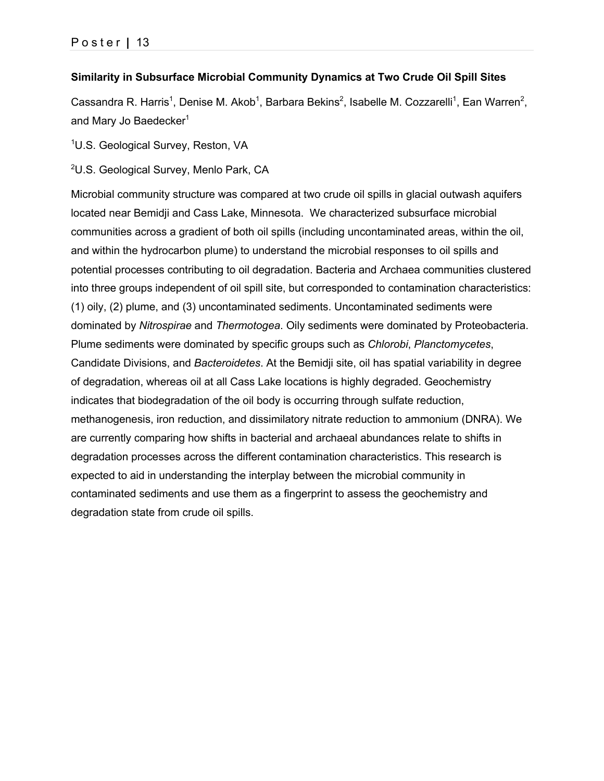### **Similarity in Subsurface Microbial Community Dynamics at Two Crude Oil Spill Sites**

Cassandra R. Harris<sup>1</sup>, Denise M. Akob<sup>1</sup>, Barbara Bekins<sup>2</sup>, Isabelle M. Cozzarelli<sup>1</sup>, Ean Warren<sup>2</sup>, and Mary Jo Baedecker $1$ 

<sup>1</sup>U.S. Geological Survey, Reston, VA

<sup>2</sup>U.S. Geological Survey, Menlo Park, CA

Microbial community structure was compared at two crude oil spills in glacial outwash aquifers located near Bemidji and Cass Lake, Minnesota. We characterized subsurface microbial communities across a gradient of both oil spills (including uncontaminated areas, within the oil, and within the hydrocarbon plume) to understand the microbial responses to oil spills and potential processes contributing to oil degradation. Bacteria and Archaea communities clustered into three groups independent of oil spill site, but corresponded to contamination characteristics: (1) oily, (2) plume, and (3) uncontaminated sediments. Uncontaminated sediments were dominated by *Nitrospirae* and *Thermotogea*. Oily sediments were dominated by Proteobacteria. Plume sediments were dominated by specific groups such as *Chlorobi*, *Planctomycetes*, Candidate Divisions, and *Bacteroidetes*. At the Bemidji site, oil has spatial variability in degree of degradation, whereas oil at all Cass Lake locations is highly degraded. Geochemistry indicates that biodegradation of the oil body is occurring through sulfate reduction, methanogenesis, iron reduction, and dissimilatory nitrate reduction to ammonium (DNRA). We are currently comparing how shifts in bacterial and archaeal abundances relate to shifts in degradation processes across the different contamination characteristics. This research is expected to aid in understanding the interplay between the microbial community in contaminated sediments and use them as a fingerprint to assess the geochemistry and degradation state from crude oil spills.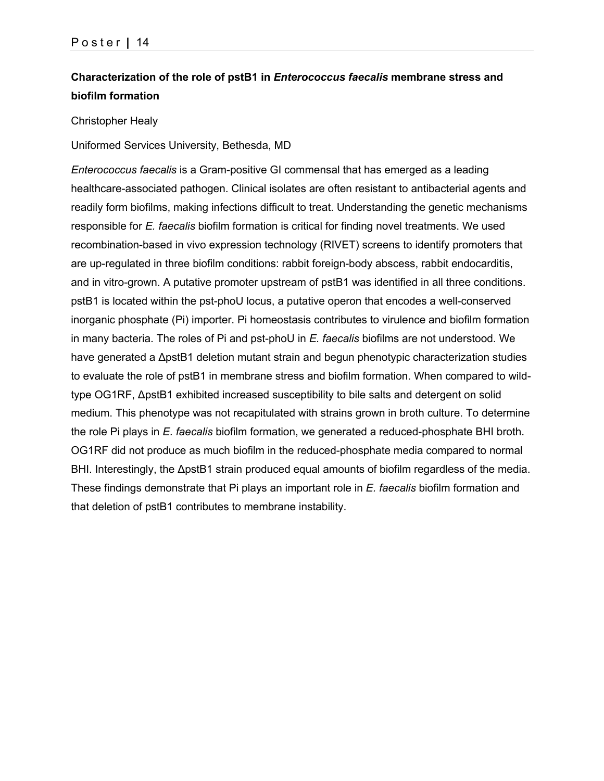# **Characterization of the role of pstB1 in** *Enterococcus faecalis* **membrane stress and biofilm formation**

#### Christopher Healy

Uniformed Services University, Bethesda, MD

*Enterococcus faecalis* is a Gram-positive GI commensal that has emerged as a leading healthcare-associated pathogen. Clinical isolates are often resistant to antibacterial agents and readily form biofilms, making infections difficult to treat. Understanding the genetic mechanisms responsible for *E. faecalis* biofilm formation is critical for finding novel treatments. We used recombination-based in vivo expression technology (RIVET) screens to identify promoters that are up-regulated in three biofilm conditions: rabbit foreign-body abscess, rabbit endocarditis, and in vitro-grown. A putative promoter upstream of pstB1 was identified in all three conditions. pstB1 is located within the pst-phoU locus, a putative operon that encodes a well-conserved inorganic phosphate (Pi) importer. Pi homeostasis contributes to virulence and biofilm formation in many bacteria. The roles of Pi and pst-phoU in *E. faecalis* biofilms are not understood. We have generated a ΔpstB1 deletion mutant strain and begun phenotypic characterization studies to evaluate the role of pstB1 in membrane stress and biofilm formation. When compared to wildtype OG1RF, ΔpstB1 exhibited increased susceptibility to bile salts and detergent on solid medium. This phenotype was not recapitulated with strains grown in broth culture. To determine the role Pi plays in *E. faecalis* biofilm formation, we generated a reduced-phosphate BHI broth. OG1RF did not produce as much biofilm in the reduced-phosphate media compared to normal BHI. Interestingly, the ΔpstB1 strain produced equal amounts of biofilm regardless of the media. These findings demonstrate that Pi plays an important role in *E. faecalis* biofilm formation and that deletion of pstB1 contributes to membrane instability.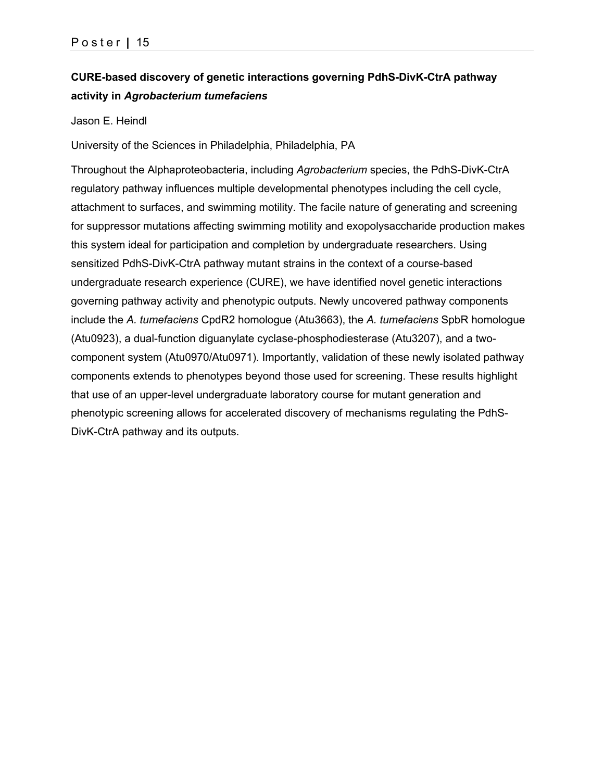# **CURE-based discovery of genetic interactions governing PdhS-DivK-CtrA pathway activity in** *Agrobacterium tumefaciens*

Jason E. Heindl

University of the Sciences in Philadelphia, Philadelphia, PA

Throughout the Alphaproteobacteria, including *Agrobacterium* species, the PdhS-DivK-CtrA regulatory pathway influences multiple developmental phenotypes including the cell cycle, attachment to surfaces, and swimming motility. The facile nature of generating and screening for suppressor mutations affecting swimming motility and exopolysaccharide production makes this system ideal for participation and completion by undergraduate researchers. Using sensitized PdhS-DivK-CtrA pathway mutant strains in the context of a course-based undergraduate research experience (CURE), we have identified novel genetic interactions governing pathway activity and phenotypic outputs. Newly uncovered pathway components include the *A. tumefaciens* CpdR2 homologue (Atu3663), the *A. tumefaciens* SpbR homologue (Atu0923), a dual-function diguanylate cyclase-phosphodiesterase (Atu3207), and a twocomponent system (Atu0970/Atu0971). Importantly, validation of these newly isolated pathway components extends to phenotypes beyond those used for screening. These results highlight that use of an upper-level undergraduate laboratory course for mutant generation and phenotypic screening allows for accelerated discovery of mechanisms regulating the PdhS-DivK-CtrA pathway and its outputs.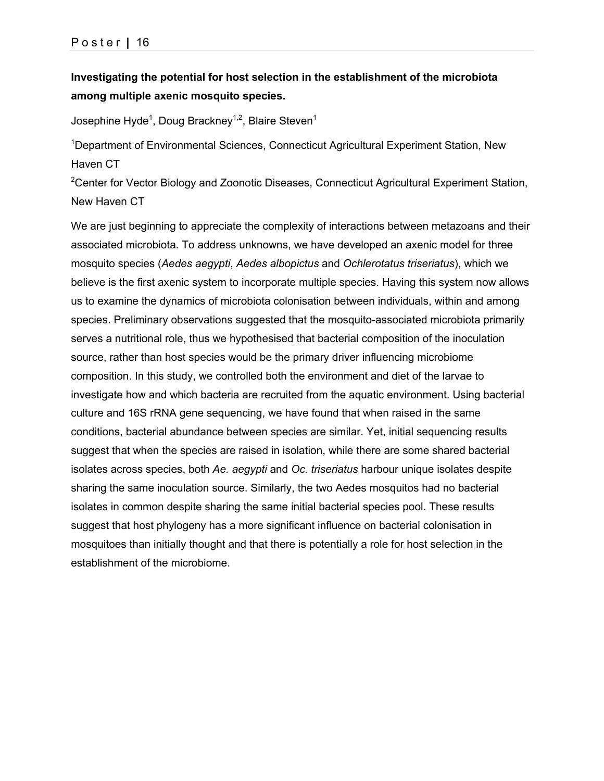### **Investigating the potential for host selection in the establishment of the microbiota among multiple axenic mosquito species.**

Josephine Hyde $^{\rm 1}$ , Doug Brackney $^{\rm 1,2}$ , Blaire Steven $^{\rm 1}$ 

<sup>1</sup>Department of Environmental Sciences, Connecticut Agricultural Experiment Station, New Haven CT

<sup>2</sup>Center for Vector Biology and Zoonotic Diseases, Connecticut Agricultural Experiment Station, New Haven CT

We are just beginning to appreciate the complexity of interactions between metazoans and their associated microbiota. To address unknowns, we have developed an axenic model for three mosquito species (*Aedes aegypti*, *Aedes albopictus* and *Ochlerotatus triseriatus*), which we believe is the first axenic system to incorporate multiple species. Having this system now allows us to examine the dynamics of microbiota colonisation between individuals, within and among species. Preliminary observations suggested that the mosquito-associated microbiota primarily serves a nutritional role, thus we hypothesised that bacterial composition of the inoculation source, rather than host species would be the primary driver influencing microbiome composition. In this study, we controlled both the environment and diet of the larvae to investigate how and which bacteria are recruited from the aquatic environment. Using bacterial culture and 16S rRNA gene sequencing, we have found that when raised in the same conditions, bacterial abundance between species are similar. Yet, initial sequencing results suggest that when the species are raised in isolation, while there are some shared bacterial isolates across species, both *Ae. aegypti* and *Oc. triseriatus* harbour unique isolates despite sharing the same inoculation source. Similarly, the two Aedes mosquitos had no bacterial isolates in common despite sharing the same initial bacterial species pool. These results suggest that host phylogeny has a more significant influence on bacterial colonisation in mosquitoes than initially thought and that there is potentially a role for host selection in the establishment of the microbiome.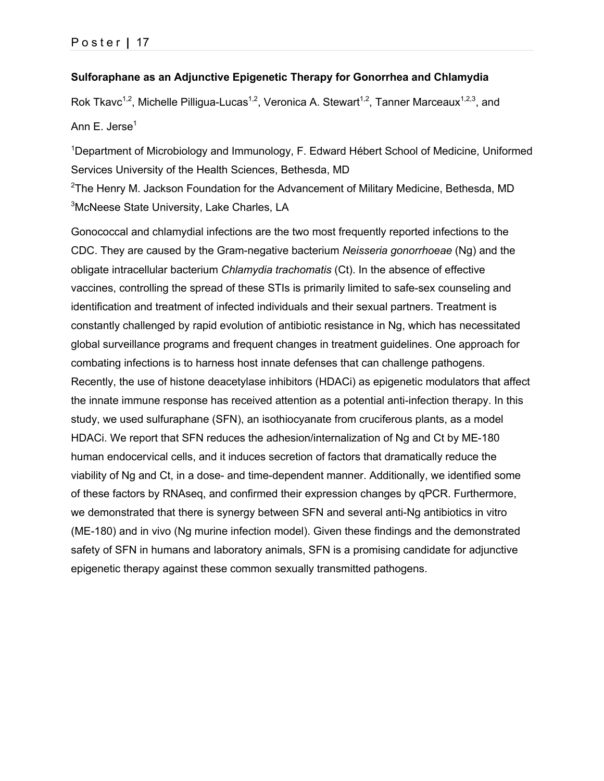### **Sulforaphane as an Adjunctive Epigenetic Therapy for Gonorrhea and Chlamydia**

Rok Tkavc<sup>1,2</sup>, Michelle Pilligua-Lucas<sup>1,2</sup>, Veronica A. Stewart<sup>1,2</sup>, Tanner Marceaux<sup>1,2,3</sup>, and Ann E. Jerse $<sup>1</sup>$ </sup>

<sup>1</sup>Department of Microbiology and Immunology, F. Edward Hébert School of Medicine, Uniformed Services University of the Health Sciences, Bethesda, MD

 $2$ The Henry M. Jackson Foundation for the Advancement of Military Medicine, Bethesda, MD <sup>3</sup>McNeese State University, Lake Charles, LA

Gonococcal and chlamydial infections are the two most frequently reported infections to the CDC. They are caused by the Gram-negative bacterium *Neisseria gonorrhoeae* (Ng) and the obligate intracellular bacterium *Chlamydia trachomatis* (Ct). In the absence of effective vaccines, controlling the spread of these STIs is primarily limited to safe-sex counseling and identification and treatment of infected individuals and their sexual partners. Treatment is constantly challenged by rapid evolution of antibiotic resistance in Ng, which has necessitated global surveillance programs and frequent changes in treatment guidelines. One approach for combating infections is to harness host innate defenses that can challenge pathogens. Recently, the use of histone deacetylase inhibitors (HDACi) as epigenetic modulators that affect the innate immune response has received attention as a potential anti-infection therapy. In this study, we used sulfuraphane (SFN), an isothiocyanate from cruciferous plants, as a model HDACi. We report that SFN reduces the adhesion/internalization of Ng and Ct by ME-180 human endocervical cells, and it induces secretion of factors that dramatically reduce the viability of Ng and Ct, in a dose- and time-dependent manner. Additionally, we identified some of these factors by RNAseq, and confirmed their expression changes by qPCR. Furthermore, we demonstrated that there is synergy between SFN and several anti-Ng antibiotics in vitro (ME-180) and in vivo (Ng murine infection model). Given these findings and the demonstrated safety of SFN in humans and laboratory animals, SFN is a promising candidate for adjunctive epigenetic therapy against these common sexually transmitted pathogens.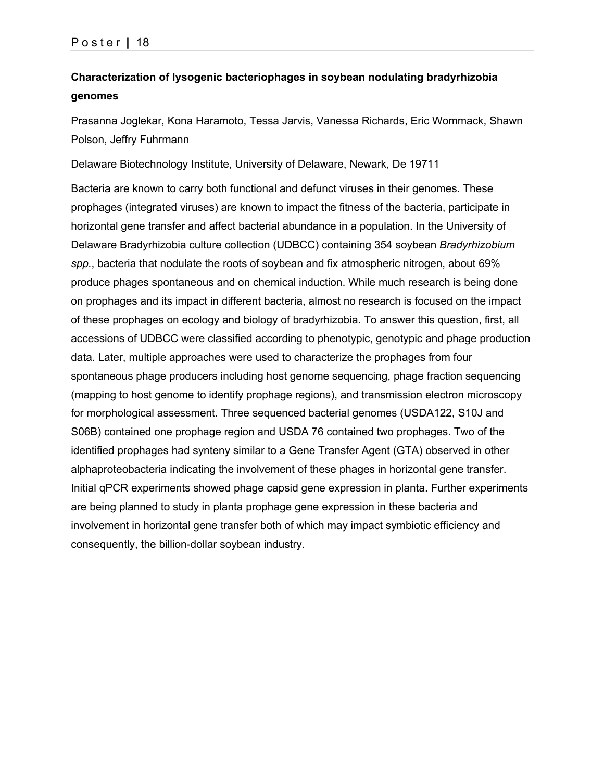# **Characterization of lysogenic bacteriophages in soybean nodulating bradyrhizobia genomes**

Prasanna Joglekar, Kona Haramoto, Tessa Jarvis, Vanessa Richards, Eric Wommack, Shawn Polson, Jeffry Fuhrmann

Delaware Biotechnology Institute, University of Delaware, Newark, De 19711

Bacteria are known to carry both functional and defunct viruses in their genomes. These prophages (integrated viruses) are known to impact the fitness of the bacteria, participate in horizontal gene transfer and affect bacterial abundance in a population. In the University of Delaware Bradyrhizobia culture collection (UDBCC) containing 354 soybean *Bradyrhizobium spp.*, bacteria that nodulate the roots of soybean and fix atmospheric nitrogen, about 69% produce phages spontaneous and on chemical induction. While much research is being done on prophages and its impact in different bacteria, almost no research is focused on the impact of these prophages on ecology and biology of bradyrhizobia. To answer this question, first, all accessions of UDBCC were classified according to phenotypic, genotypic and phage production data. Later, multiple approaches were used to characterize the prophages from four spontaneous phage producers including host genome sequencing, phage fraction sequencing (mapping to host genome to identify prophage regions), and transmission electron microscopy for morphological assessment. Three sequenced bacterial genomes (USDA122, S10J and S06B) contained one prophage region and USDA 76 contained two prophages. Two of the identified prophages had synteny similar to a Gene Transfer Agent (GTA) observed in other alphaproteobacteria indicating the involvement of these phages in horizontal gene transfer. Initial qPCR experiments showed phage capsid gene expression in planta. Further experiments are being planned to study in planta prophage gene expression in these bacteria and involvement in horizontal gene transfer both of which may impact symbiotic efficiency and consequently, the billion-dollar soybean industry.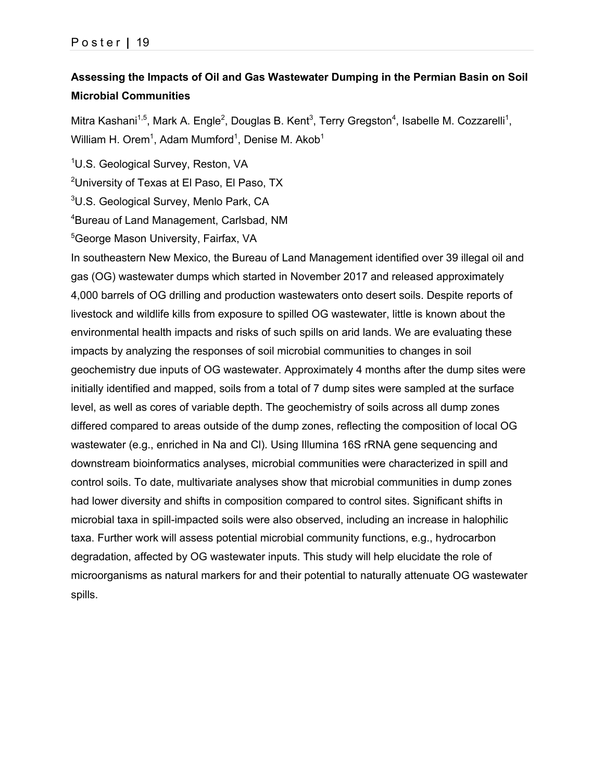# **Assessing the Impacts of Oil and Gas Wastewater Dumping in the Permian Basin on Soil Microbial Communities**

Mitra Kashani<sup>1,5</sup>, Mark A. Engle<sup>2</sup>, Douglas B. Kent<sup>3</sup>, Terry Gregston<sup>4</sup>, Isabelle M. Cozzarelli<sup>1</sup>, William H. Orem<sup>1</sup>, Adam Mumford<sup>1</sup>, Denise M. Akob<sup>1</sup>

<sup>1</sup>U.S. Geological Survey, Reston, VA

 $^{2}$ University of Texas at El Paso, El Paso, TX

<sup>3</sup>U.S. Geological Survey, Menlo Park, CA

4 Bureau of Land Management, Carlsbad, NM

5 George Mason University, Fairfax, VA

In southeastern New Mexico, the Bureau of Land Management identified over 39 illegal oil and gas (OG) wastewater dumps which started in November 2017 and released approximately 4,000 barrels of OG drilling and production wastewaters onto desert soils. Despite reports of livestock and wildlife kills from exposure to spilled OG wastewater, little is known about the environmental health impacts and risks of such spills on arid lands. We are evaluating these impacts by analyzing the responses of soil microbial communities to changes in soil geochemistry due inputs of OG wastewater. Approximately 4 months after the dump sites were initially identified and mapped, soils from a total of 7 dump sites were sampled at the surface level, as well as cores of variable depth. The geochemistry of soils across all dump zones differed compared to areas outside of the dump zones, reflecting the composition of local OG wastewater (e.g., enriched in Na and Cl). Using Illumina 16S rRNA gene sequencing and downstream bioinformatics analyses, microbial communities were characterized in spill and control soils. To date, multivariate analyses show that microbial communities in dump zones had lower diversity and shifts in composition compared to control sites. Significant shifts in microbial taxa in spill-impacted soils were also observed, including an increase in halophilic taxa. Further work will assess potential microbial community functions, e.g., hydrocarbon degradation, affected by OG wastewater inputs. This study will help elucidate the role of microorganisms as natural markers for and their potential to naturally attenuate OG wastewater spills.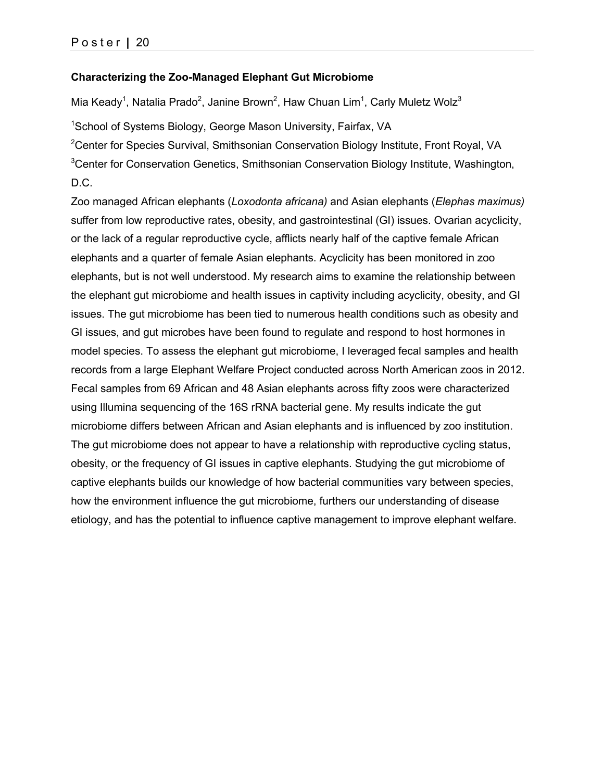### **Characterizing the Zoo-Managed Elephant Gut Microbiome**

Mia Keady<sup>1</sup>, Natalia Prado<sup>2</sup>, Janine Brown<sup>2</sup>, Haw Chuan Lim<sup>1</sup>, Carly Muletz Wolz<sup>3</sup>

<sup>1</sup>School of Systems Biology, George Mason University, Fairfax, VA

<sup>2</sup>Center for Species Survival, Smithsonian Conservation Biology Institute, Front Royal, VA <sup>3</sup>Center for Conservation Genetics, Smithsonian Conservation Biology Institute, Washington, D.C.

Zoo managed African elephants (*Loxodonta africana)* and Asian elephants (*Elephas maximus)*  suffer from low reproductive rates, obesity, and gastrointestinal (GI) issues. Ovarian acyclicity, or the lack of a regular reproductive cycle, afflicts nearly half of the captive female African elephants and a quarter of female Asian elephants. Acyclicity has been monitored in zoo elephants, but is not well understood. My research aims to examine the relationship between the elephant gut microbiome and health issues in captivity including acyclicity, obesity, and GI issues. The gut microbiome has been tied to numerous health conditions such as obesity and GI issues, and gut microbes have been found to regulate and respond to host hormones in model species. To assess the elephant gut microbiome, I leveraged fecal samples and health records from a large Elephant Welfare Project conducted across North American zoos in 2012. Fecal samples from 69 African and 48 Asian elephants across fifty zoos were characterized using Illumina sequencing of the 16S rRNA bacterial gene. My results indicate the gut microbiome differs between African and Asian elephants and is influenced by zoo institution. The gut microbiome does not appear to have a relationship with reproductive cycling status, obesity, or the frequency of GI issues in captive elephants. Studying the gut microbiome of captive elephants builds our knowledge of how bacterial communities vary between species, how the environment influence the gut microbiome, furthers our understanding of disease etiology, and has the potential to influence captive management to improve elephant welfare.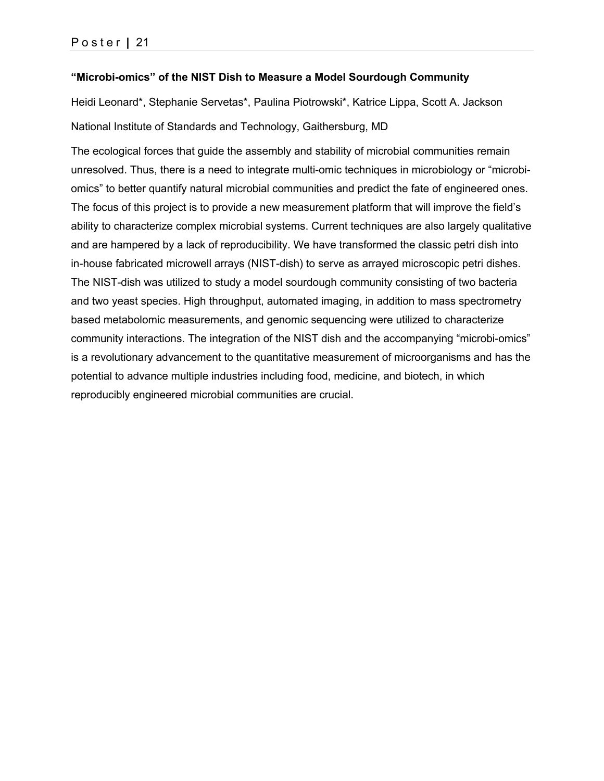### **"Microbi-omics" of the NIST Dish to Measure a Model Sourdough Community**

Heidi Leonard\*, Stephanie Servetas\*, Paulina Piotrowski\*, Katrice Lippa, Scott A. Jackson National Institute of Standards and Technology, Gaithersburg, MD

The ecological forces that guide the assembly and stability of microbial communities remain unresolved. Thus, there is a need to integrate multi-omic techniques in microbiology or "microbiomics" to better quantify natural microbial communities and predict the fate of engineered ones. The focus of this project is to provide a new measurement platform that will improve the field's ability to characterize complex microbial systems. Current techniques are also largely qualitative and are hampered by a lack of reproducibility. We have transformed the classic petri dish into in-house fabricated microwell arrays (NIST-dish) to serve as arrayed microscopic petri dishes. The NIST-dish was utilized to study a model sourdough community consisting of two bacteria and two yeast species. High throughput, automated imaging, in addition to mass spectrometry based metabolomic measurements, and genomic sequencing were utilized to characterize community interactions. The integration of the NIST dish and the accompanying "microbi-omics" is a revolutionary advancement to the quantitative measurement of microorganisms and has the potential to advance multiple industries including food, medicine, and biotech, in which reproducibly engineered microbial communities are crucial.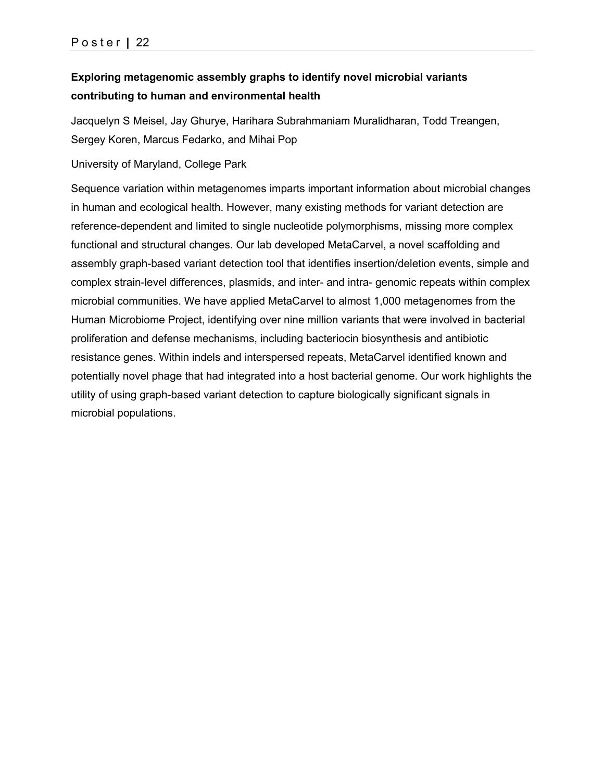# **Exploring metagenomic assembly graphs to identify novel microbial variants contributing to human and environmental health**

Jacquelyn S Meisel, Jay Ghurye, Harihara Subrahmaniam Muralidharan, Todd Treangen, Sergey Koren, Marcus Fedarko, and Mihai Pop

University of Maryland, College Park

Sequence variation within metagenomes imparts important information about microbial changes in human and ecological health. However, many existing methods for variant detection are reference-dependent and limited to single nucleotide polymorphisms, missing more complex functional and structural changes. Our lab developed MetaCarvel, a novel scaffolding and assembly graph-based variant detection tool that identifies insertion/deletion events, simple and complex strain-level differences, plasmids, and inter- and intra- genomic repeats within complex microbial communities. We have applied MetaCarvel to almost 1,000 metagenomes from the Human Microbiome Project, identifying over nine million variants that were involved in bacterial proliferation and defense mechanisms, including bacteriocin biosynthesis and antibiotic resistance genes. Within indels and interspersed repeats, MetaCarvel identified known and potentially novel phage that had integrated into a host bacterial genome. Our work highlights the utility of using graph-based variant detection to capture biologically significant signals in microbial populations.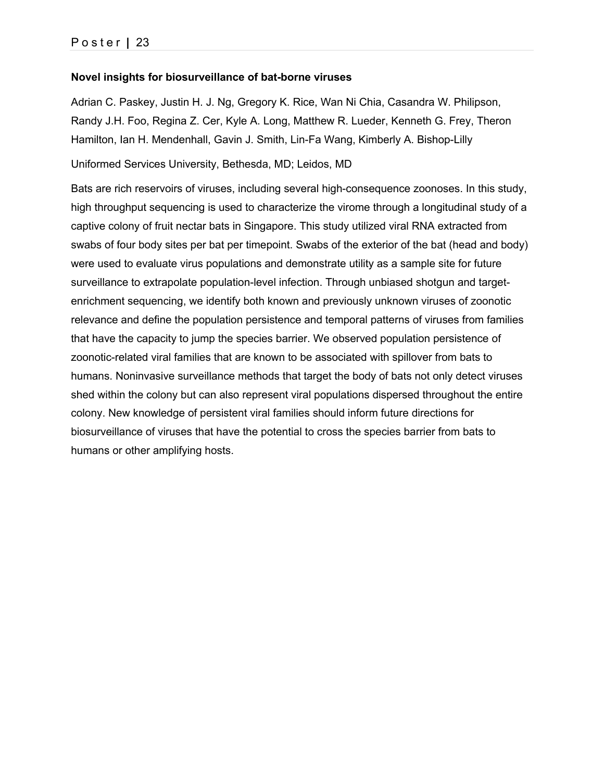### **Novel insights for biosurveillance of bat-borne viruses**

Adrian C. Paskey, Justin H. J. Ng, Gregory K. Rice, Wan Ni Chia, Casandra W. Philipson, Randy J.H. Foo, Regina Z. Cer, Kyle A. Long, Matthew R. Lueder, Kenneth G. Frey, Theron Hamilton, Ian H. Mendenhall, Gavin J. Smith, Lin-Fa Wang, Kimberly A. Bishop-Lilly

Uniformed Services University, Bethesda, MD; Leidos, MD

Bats are rich reservoirs of viruses, including several high-consequence zoonoses. In this study, high throughput sequencing is used to characterize the virome through a longitudinal study of a captive colony of fruit nectar bats in Singapore. This study utilized viral RNA extracted from swabs of four body sites per bat per timepoint. Swabs of the exterior of the bat (head and body) were used to evaluate virus populations and demonstrate utility as a sample site for future surveillance to extrapolate population-level infection. Through unbiased shotgun and targetenrichment sequencing, we identify both known and previously unknown viruses of zoonotic relevance and define the population persistence and temporal patterns of viruses from families that have the capacity to jump the species barrier. We observed population persistence of zoonotic-related viral families that are known to be associated with spillover from bats to humans. Noninvasive surveillance methods that target the body of bats not only detect viruses shed within the colony but can also represent viral populations dispersed throughout the entire colony. New knowledge of persistent viral families should inform future directions for biosurveillance of viruses that have the potential to cross the species barrier from bats to humans or other amplifying hosts.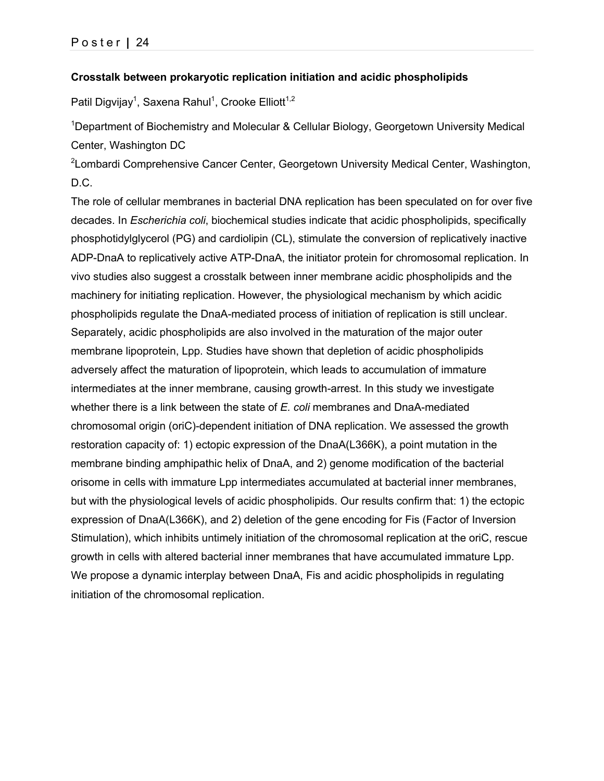### **Crosstalk between prokaryotic replication initiation and acidic phospholipids**

Patil Digvijay<sup>1</sup>, Saxena Rahul<sup>1</sup>, Crooke Elliott<sup>1,2</sup>

<sup>1</sup>Department of Biochemistry and Molecular & Cellular Biology, Georgetown University Medical Center, Washington DC

<sup>2</sup>Lombardi Comprehensive Cancer Center, Georgetown University Medical Center, Washington, D.C.

The role of cellular membranes in bacterial DNA replication has been speculated on for over five decades. In *Escherichia coli*, biochemical studies indicate that acidic phospholipids, specifically phosphotidylglycerol (PG) and cardiolipin (CL), stimulate the conversion of replicatively inactive ADP-DnaA to replicatively active ATP-DnaA, the initiator protein for chromosomal replication. In vivo studies also suggest a crosstalk between inner membrane acidic phospholipids and the machinery for initiating replication. However, the physiological mechanism by which acidic phospholipids regulate the DnaA-mediated process of initiation of replication is still unclear. Separately, acidic phospholipids are also involved in the maturation of the major outer membrane lipoprotein, Lpp. Studies have shown that depletion of acidic phospholipids adversely affect the maturation of lipoprotein, which leads to accumulation of immature intermediates at the inner membrane, causing growth-arrest. In this study we investigate whether there is a link between the state of *E. coli* membranes and DnaA-mediated chromosomal origin (oriC)-dependent initiation of DNA replication. We assessed the growth restoration capacity of: 1) ectopic expression of the DnaA(L366K), a point mutation in the membrane binding amphipathic helix of DnaA, and 2) genome modification of the bacterial orisome in cells with immature Lpp intermediates accumulated at bacterial inner membranes, but with the physiological levels of acidic phospholipids. Our results confirm that: 1) the ectopic expression of DnaA(L366K), and 2) deletion of the gene encoding for Fis (Factor of Inversion Stimulation), which inhibits untimely initiation of the chromosomal replication at the oriC, rescue growth in cells with altered bacterial inner membranes that have accumulated immature Lpp. We propose a dynamic interplay between DnaA, Fis and acidic phospholipids in regulating initiation of the chromosomal replication.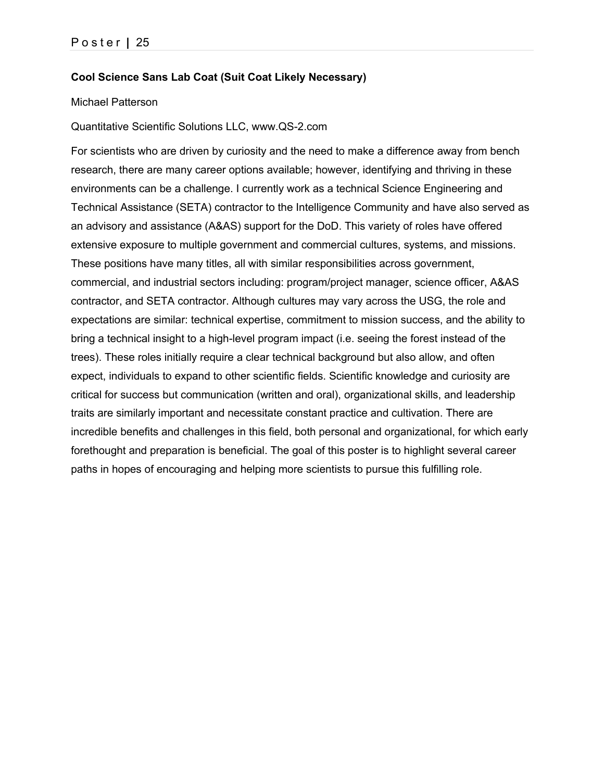### **Cool Science Sans Lab Coat (Suit Coat Likely Necessary)**

#### Michael Patterson

Quantitative Scientific Solutions LLC, www.QS-2.com

For scientists who are driven by curiosity and the need to make a difference away from bench research, there are many career options available; however, identifying and thriving in these environments can be a challenge. I currently work as a technical Science Engineering and Technical Assistance (SETA) contractor to the Intelligence Community and have also served as an advisory and assistance (A&AS) support for the DoD. This variety of roles have offered extensive exposure to multiple government and commercial cultures, systems, and missions. These positions have many titles, all with similar responsibilities across government, commercial, and industrial sectors including: program/project manager, science officer, A&AS contractor, and SETA contractor. Although cultures may vary across the USG, the role and expectations are similar: technical expertise, commitment to mission success, and the ability to bring a technical insight to a high-level program impact (i.e. seeing the forest instead of the trees). These roles initially require a clear technical background but also allow, and often expect, individuals to expand to other scientific fields. Scientific knowledge and curiosity are critical for success but communication (written and oral), organizational skills, and leadership traits are similarly important and necessitate constant practice and cultivation. There are incredible benefits and challenges in this field, both personal and organizational, for which early forethought and preparation is beneficial. The goal of this poster is to highlight several career paths in hopes of encouraging and helping more scientists to pursue this fulfilling role.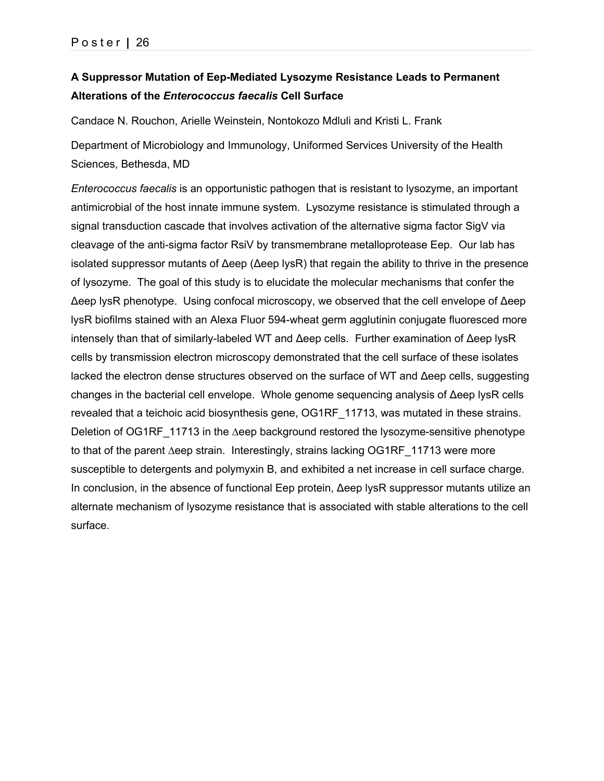# **A Suppressor Mutation of Eep-Mediated Lysozyme Resistance Leads to Permanent Alterations of the** *Enterococcus faecalis* **Cell Surface**

Candace N. Rouchon, Arielle Weinstein, Nontokozo Mdluli and Kristi L. Frank

Department of Microbiology and Immunology, Uniformed Services University of the Health Sciences, Bethesda, MD

*Enterococcus faecalis* is an opportunistic pathogen that is resistant to lysozyme, an important antimicrobial of the host innate immune system. Lysozyme resistance is stimulated through a signal transduction cascade that involves activation of the alternative sigma factor SigV via cleavage of the anti-sigma factor RsiV by transmembrane metalloprotease Eep. Our lab has isolated suppressor mutants of Δeep (Δeep lysR) that regain the ability to thrive in the presence of lysozyme. The goal of this study is to elucidate the molecular mechanisms that confer the Δeep lysR phenotype. Using confocal microscopy, we observed that the cell envelope of Δeep lysR biofilms stained with an Alexa Fluor 594-wheat germ agglutinin conjugate fluoresced more intensely than that of similarly-labeled WT and Δeep cells. Further examination of Δeep lysR cells by transmission electron microscopy demonstrated that the cell surface of these isolates lacked the electron dense structures observed on the surface of WT and Δeep cells, suggesting changes in the bacterial cell envelope. Whole genome sequencing analysis of Δeep lysR cells revealed that a teichoic acid biosynthesis gene, OG1RF\_11713, was mutated in these strains. Deletion of OG1RF 11713 in the ∆eep background restored the lysozyme-sensitive phenotype to that of the parent ∆eep strain. Interestingly, strains lacking OG1RF\_11713 were more susceptible to detergents and polymyxin B, and exhibited a net increase in cell surface charge. In conclusion, in the absence of functional Eep protein, Δeep lysR suppressor mutants utilize an alternate mechanism of lysozyme resistance that is associated with stable alterations to the cell surface.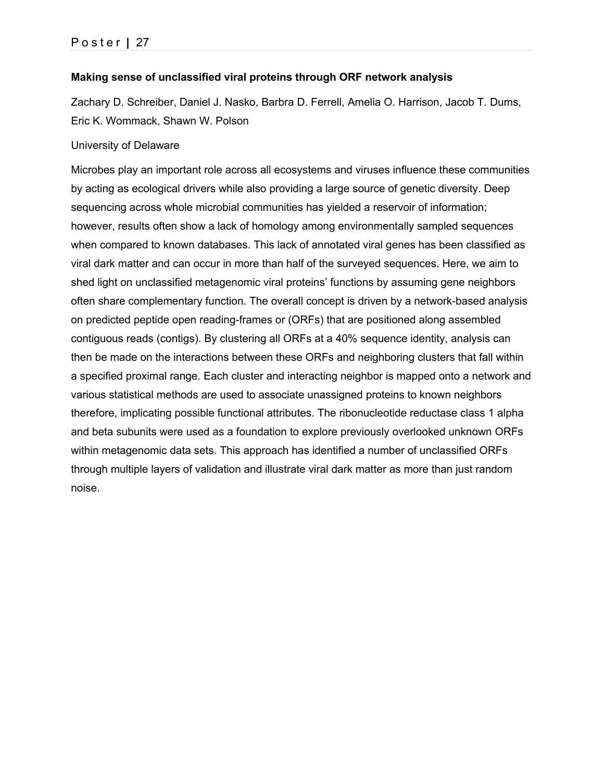### **Making sense of unclassified viral proteins through ORF network analysis**

Zachary D. Schreiber, Daniel J. Nasko, Barbra D. Ferrell, Amelia O. Harrison, Jacob T. Dums, Eric K. Wommack, Shawn W. Polson

#### University of Delaware

Microbes play an important role across all ecosystems and viruses influence these communities by acting as ecological drivers while also providing a large source of genetic diversity. Deep sequencing across whole microbial communities has yielded a reservoir of information; however, results often show a lack of homology among environmentally sampled sequences when compared to known databases. This lack of annotated viral genes has been classified as viral dark matter and can occur in more than half of the surveyed sequences. Here, we aim to shed light on unclassified metagenomic viral proteins' functions by assuming gene neighbors often share complementary function. The overall concept is driven by a network-based analysis on predicted peptide open reading-frames or (ORFs) that are positioned along assembled contiguous reads (contigs). By clustering all ORFs at a 40% sequence identity, analysis can then be made on the interactions between these ORFs and neighboring clusters that fall within a specified proximal range. Each cluster and interacting neighbor is mapped onto a network and various statistical methods are used to associate unassigned proteins to known neighbors therefore, implicating possible functional attributes. The ribonucleotide reductase class 1 alpha and beta subunits were used as a foundation to explore previously overlooked unknown ORFs within metagenomic data sets. This approach has identified a number of unclassified ORFs through multiple layers of validation and illustrate viral dark matter as more than just random noise.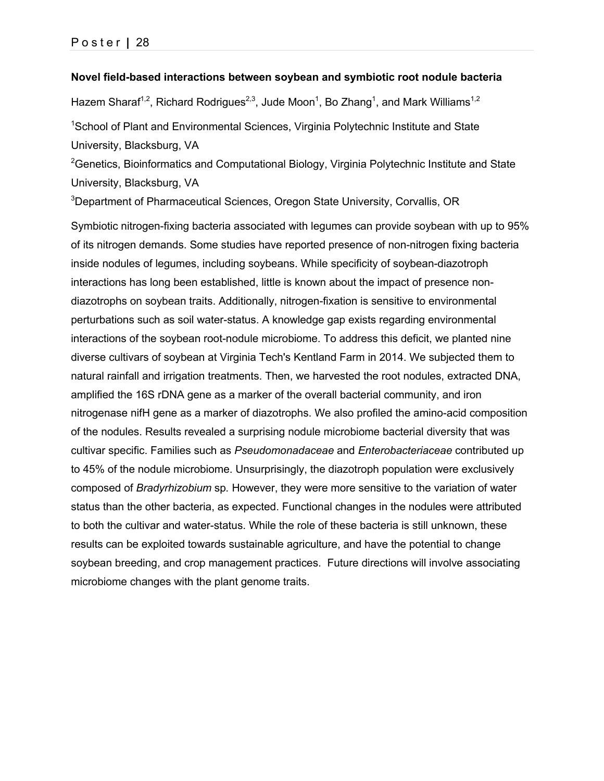#### **Novel field-based interactions between soybean and symbiotic root nodule bacteria**

Hazem Sharaf<sup>1,2</sup>, Richard Rodrigues<sup>2,3</sup>, Jude Moon<sup>1</sup>, Bo Zhang<sup>1</sup>, and Mark Williams<sup>1,2</sup>

<sup>1</sup>School of Plant and Environmental Sciences, Virginia Polytechnic Institute and State University, Blacksburg, VA

<sup>2</sup>Genetics, Bioinformatics and Computational Biology, Virginia Polytechnic Institute and State University, Blacksburg, VA

<sup>3</sup>Department of Pharmaceutical Sciences, Oregon State University, Corvallis, OR

Symbiotic nitrogen-fixing bacteria associated with legumes can provide soybean with up to 95% of its nitrogen demands. Some studies have reported presence of non-nitrogen fixing bacteria inside nodules of legumes, including soybeans. While specificity of soybean-diazotroph interactions has long been established, little is known about the impact of presence nondiazotrophs on soybean traits. Additionally, nitrogen-fixation is sensitive to environmental perturbations such as soil water-status. A knowledge gap exists regarding environmental interactions of the soybean root-nodule microbiome. To address this deficit, we planted nine diverse cultivars of soybean at Virginia Tech's Kentland Farm in 2014. We subjected them to natural rainfall and irrigation treatments. Then, we harvested the root nodules, extracted DNA, amplified the 16S rDNA gene as a marker of the overall bacterial community, and iron nitrogenase nifH gene as a marker of diazotrophs. We also profiled the amino-acid composition of the nodules. Results revealed a surprising nodule microbiome bacterial diversity that was cultivar specific. Families such as *Pseudomonadaceae* and *Enterobacteriaceae* contributed up to 45% of the nodule microbiome. Unsurprisingly, the diazotroph population were exclusively composed of *Bradyrhizobium* sp*.* However, they were more sensitive to the variation of water status than the other bacteria, as expected. Functional changes in the nodules were attributed to both the cultivar and water-status. While the role of these bacteria is still unknown, these results can be exploited towards sustainable agriculture, and have the potential to change soybean breeding, and crop management practices. Future directions will involve associating microbiome changes with the plant genome traits.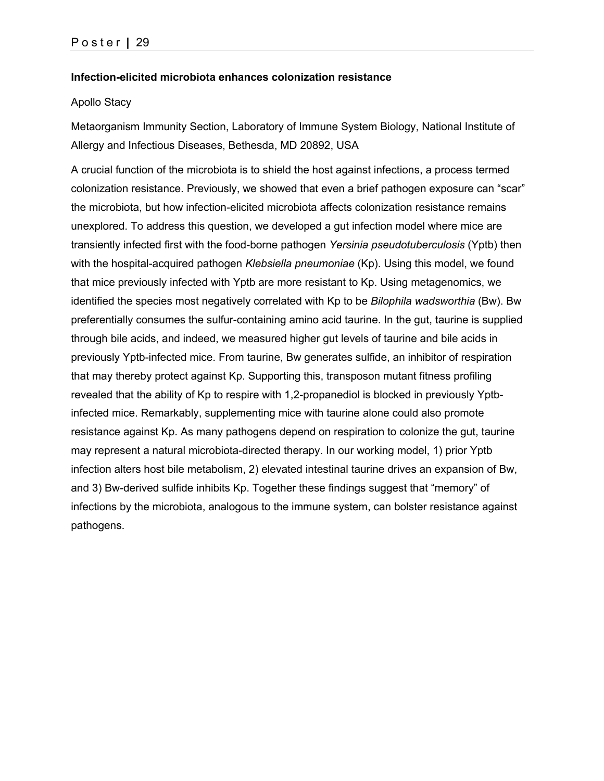#### **Infection-elicited microbiota enhances colonization resistance**

#### Apollo Stacy

Metaorganism Immunity Section, Laboratory of Immune System Biology, National Institute of Allergy and Infectious Diseases, Bethesda, MD 20892, USA

A crucial function of the microbiota is to shield the host against infections, a process termed colonization resistance. Previously, we showed that even a brief pathogen exposure can "scar" the microbiota, but how infection-elicited microbiota affects colonization resistance remains unexplored. To address this question, we developed a gut infection model where mice are transiently infected first with the food-borne pathogen *Yersinia pseudotuberculosis* (Yptb) then with the hospital-acquired pathogen *Klebsiella pneumoniae* (Kp). Using this model, we found that mice previously infected with Yptb are more resistant to Kp. Using metagenomics, we identified the species most negatively correlated with Kp to be *Bilophila wadsworthia* (Bw). Bw preferentially consumes the sulfur-containing amino acid taurine. In the gut, taurine is supplied through bile acids, and indeed, we measured higher gut levels of taurine and bile acids in previously Yptb-infected mice. From taurine, Bw generates sulfide, an inhibitor of respiration that may thereby protect against Kp. Supporting this, transposon mutant fitness profiling revealed that the ability of Kp to respire with 1,2-propanediol is blocked in previously Yptbinfected mice. Remarkably, supplementing mice with taurine alone could also promote resistance against Kp. As many pathogens depend on respiration to colonize the gut, taurine may represent a natural microbiota-directed therapy. In our working model, 1) prior Yptb infection alters host bile metabolism, 2) elevated intestinal taurine drives an expansion of Bw, and 3) Bw-derived sulfide inhibits Kp. Together these findings suggest that "memory" of infections by the microbiota, analogous to the immune system, can bolster resistance against pathogens.